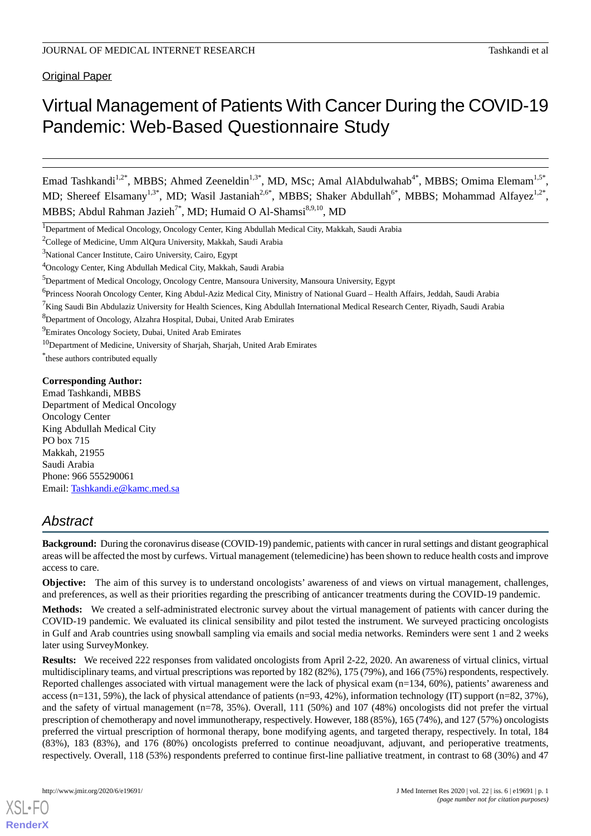Original Paper

# Virtual Management of Patients With Cancer During the COVID-19 Pandemic: Web-Based Questionnaire Study

Emad Tashkandi<sup>1,2\*</sup>, MBBS; Ahmed Zeeneldin<sup>1,3\*</sup>, MD, MSc; Amal AlAbdulwahab<sup>4\*</sup>, MBBS; Omima Elemam<sup>1,5\*</sup>, MD; Shereef Elsamany<sup>1,3\*</sup>, MD; Wasil Jastaniah<sup>2,6\*</sup>, MBBS; Shaker Abdullah<sup>6\*</sup>, MBBS; Mohammad Alfayez<sup>1,2\*</sup>, MBBS; Abdul Rahman Jazieh<sup>7\*</sup>, MD; Humaid O Al-Shamsi<sup>8,9,10</sup>, MD

<sup>1</sup>Department of Medical Oncology, Oncology Center, King Abdullah Medical City, Makkah, Saudi Arabia

<sup>2</sup>College of Medicine, Umm AlQura University, Makkah, Saudi Arabia

<sup>3</sup>National Cancer Institute, Cairo University, Cairo, Egypt

<sup>4</sup>Oncology Center, King Abdullah Medical City, Makkah, Saudi Arabia

<sup>6</sup>Princess Noorah Oncology Center, King Abdul-Aziz Medical City, Ministry of National Guard – Health Affairs, Jeddah, Saudi Arabia

<sup>8</sup>Department of Oncology, Alzahra Hospital, Dubai, United Arab Emirates

<sup>9</sup>Emirates Oncology Society, Dubai, United Arab Emirates

<sup>10</sup>Department of Medicine, University of Sharjah, Sharjah, United Arab Emirates

\* these authors contributed equally

### **Corresponding Author:**

Emad Tashkandi, MBBS Department of Medical Oncology Oncology Center King Abdullah Medical City PO box 715 Makkah, 21955 Saudi Arabia Phone: 966 555290061 Email: [Tashkandi.e@kamc.med.sa](mailto:Tashkandi.e@kamc.med.sa)

# *Abstract*

**Background:** During the coronavirus disease (COVID-19) pandemic, patients with cancer in rural settings and distant geographical areas will be affected the most by curfews. Virtual management (telemedicine) has been shown to reduce health costs and improve access to care.

**Objective:** The aim of this survey is to understand oncologists' awareness of and views on virtual management, challenges, and preferences, as well as their priorities regarding the prescribing of anticancer treatments during the COVID-19 pandemic.

**Methods:** We created a self-administrated electronic survey about the virtual management of patients with cancer during the COVID-19 pandemic. We evaluated its clinical sensibility and pilot tested the instrument. We surveyed practicing oncologists in Gulf and Arab countries using snowball sampling via emails and social media networks. Reminders were sent 1 and 2 weeks later using SurveyMonkey.

**Results:** We received 222 responses from validated oncologists from April 2-22, 2020. An awareness of virtual clinics, virtual multidisciplinary teams, and virtual prescriptions was reported by 182 (82%), 175 (79%), and 166 (75%) respondents, respectively. Reported challenges associated with virtual management were the lack of physical exam (n=134, 60%), patients' awareness and access (n=131, 59%), the lack of physical attendance of patients (n=93, 42%), information technology (IT) support (n=82, 37%), and the safety of virtual management (n=78, 35%). Overall, 111 (50%) and 107 (48%) oncologists did not prefer the virtual prescription of chemotherapy and novel immunotherapy, respectively. However, 188 (85%), 165 (74%), and 127 (57%) oncologists preferred the virtual prescription of hormonal therapy, bone modifying agents, and targeted therapy, respectively. In total, 184 (83%), 183 (83%), and 176 (80%) oncologists preferred to continue neoadjuvant, adjuvant, and perioperative treatments, respectively. Overall, 118 (53%) respondents preferred to continue first-line palliative treatment, in contrast to 68 (30%) and 47

[XSL](http://www.w3.org/Style/XSL)•FO **[RenderX](http://www.renderx.com/)**

<sup>5</sup>Department of Medical Oncology, Oncology Centre, Mansoura University, Mansoura University, Egypt

 ${}^{7}$ King Saudi Bin Abdulaziz University for Health Sciences, King Abdullah International Medical Research Center, Riyadh, Saudi Arabia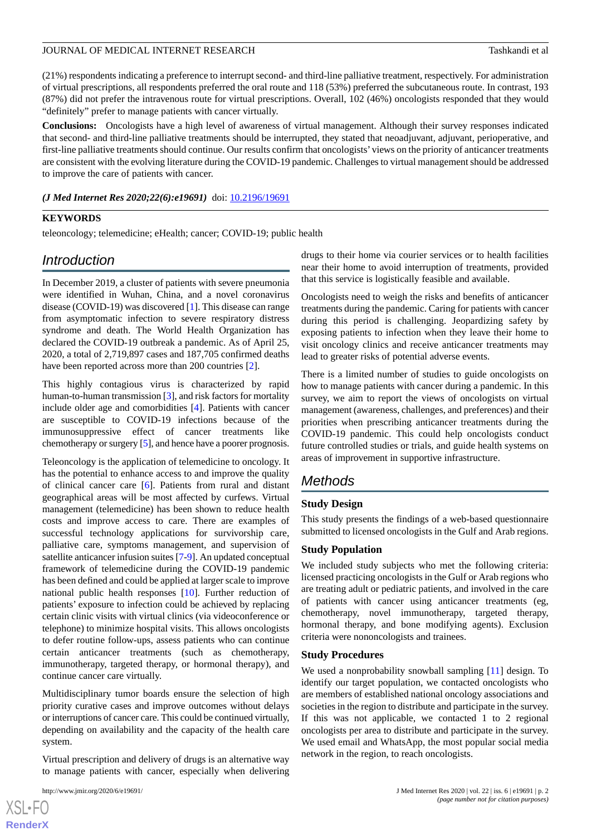(21%) respondents indicating a preference to interrupt second- and third-line palliative treatment, respectively. For administration of virtual prescriptions, all respondents preferred the oral route and 118 (53%) preferred the subcutaneous route. In contrast, 193 (87%) did not prefer the intravenous route for virtual prescriptions. Overall, 102 (46%) oncologists responded that they would "definitely" prefer to manage patients with cancer virtually.

**Conclusions:** Oncologists have a high level of awareness of virtual management. Although their survey responses indicated that second- and third-line palliative treatments should be interrupted, they stated that neoadjuvant, adjuvant, perioperative, and first-line palliative treatments should continue. Our results confirm that oncologists'views on the priority of anticancer treatments are consistent with the evolving literature during the COVID-19 pandemic. Challenges to virtual management should be addressed to improve the care of patients with cancer.

*(J Med Internet Res 2020;22(6):e19691)* doi:  $10.2196/19691$ 

### **KEYWORDS**

teleoncology; telemedicine; eHealth; cancer; COVID-19; public health

# *Introduction*

In December 2019, a cluster of patients with severe pneumonia were identified in Wuhan, China, and a novel coronavirus disease (COVID-19) was discovered [\[1](#page-8-0)]. This disease can range from asymptomatic infection to severe respiratory distress syndrome and death. The World Health Organization has declared the COVID-19 outbreak a pandemic. As of April 25, 2020, a total of 2,719,897 cases and 187,705 confirmed deaths have been reported across more than 200 countries [\[2](#page-8-1)].

This highly contagious virus is characterized by rapid human-to-human transmission [[3\]](#page-8-2), and risk factors for mortality include older age and comorbidities [[4\]](#page-9-0). Patients with cancer are susceptible to COVID-19 infections because of the immunosuppressive effect of cancer treatments like chemotherapy or surgery [\[5](#page-9-1)], and hence have a poorer prognosis.

Teleoncology is the application of telemedicine to oncology. It has the potential to enhance access to and improve the quality of clinical cancer care [[6\]](#page-9-2). Patients from rural and distant geographical areas will be most affected by curfews. Virtual management (telemedicine) has been shown to reduce health costs and improve access to care. There are examples of successful technology applications for survivorship care, palliative care, symptoms management, and supervision of satellite anticancer infusion suites [\[7](#page-9-3)[-9\]](#page-9-4). An updated conceptual framework of telemedicine during the COVID-19 pandemic has been defined and could be applied at larger scale to improve national public health responses [[10\]](#page-9-5). Further reduction of patients' exposure to infection could be achieved by replacing certain clinic visits with virtual clinics (via videoconference or telephone) to minimize hospital visits. This allows oncologists to defer routine follow-ups, assess patients who can continue certain anticancer treatments (such as chemotherapy, immunotherapy, targeted therapy, or hormonal therapy), and continue cancer care virtually.

Multidisciplinary tumor boards ensure the selection of high priority curative cases and improve outcomes without delays or interruptions of cancer care. This could be continued virtually, depending on availability and the capacity of the health care system.

Virtual prescription and delivery of drugs is an alternative way to manage patients with cancer, especially when delivering

 $XS$  $\cdot$ FC **[RenderX](http://www.renderx.com/)** drugs to their home via courier services or to health facilities near their home to avoid interruption of treatments, provided that this service is logistically feasible and available.

Oncologists need to weigh the risks and benefits of anticancer treatments during the pandemic. Caring for patients with cancer during this period is challenging. Jeopardizing safety by exposing patients to infection when they leave their home to visit oncology clinics and receive anticancer treatments may lead to greater risks of potential adverse events.

There is a limited number of studies to guide oncologists on how to manage patients with cancer during a pandemic. In this survey, we aim to report the views of oncologists on virtual management (awareness, challenges, and preferences) and their priorities when prescribing anticancer treatments during the COVID-19 pandemic. This could help oncologists conduct future controlled studies or trials, and guide health systems on areas of improvement in supportive infrastructure.

### *Methods*

### **Study Design**

This study presents the findings of a web-based questionnaire submitted to licensed oncologists in the Gulf and Arab regions.

#### **Study Population**

We included study subjects who met the following criteria: licensed practicing oncologists in the Gulf or Arab regions who are treating adult or pediatric patients, and involved in the care of patients with cancer using anticancer treatments (eg, chemotherapy, novel immunotherapy, targeted therapy, hormonal therapy, and bone modifying agents). Exclusion criteria were nononcologists and trainees.

#### **Study Procedures**

We used a nonprobability snowball sampling [[11\]](#page-9-6) design. To identify our target population, we contacted oncologists who are members of established national oncology associations and societies in the region to distribute and participate in the survey. If this was not applicable, we contacted 1 to 2 regional oncologists per area to distribute and participate in the survey. We used email and WhatsApp, the most popular social media network in the region, to reach oncologists.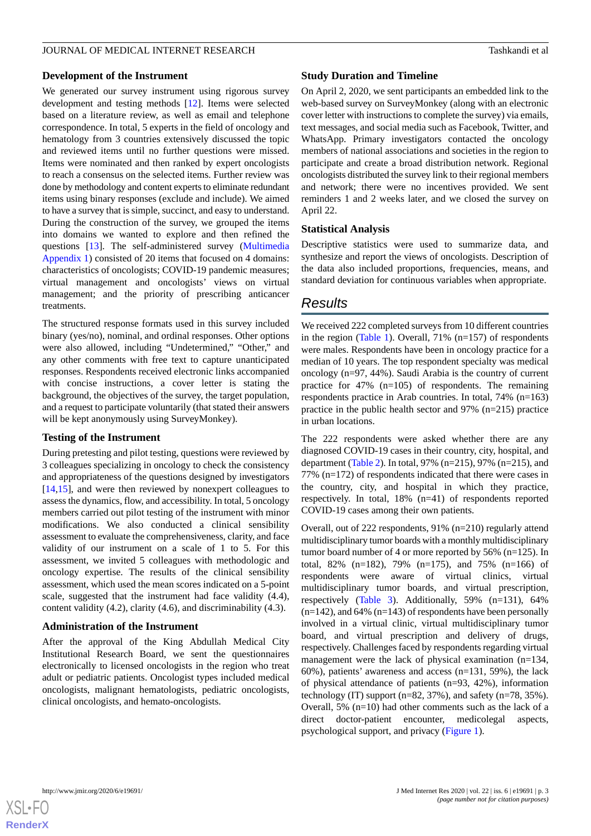### **Development of the Instrument**

We generated our survey instrument using rigorous survey development and testing methods [\[12](#page-9-7)]. Items were selected based on a literature review, as well as email and telephone correspondence. In total, 5 experts in the field of oncology and hematology from 3 countries extensively discussed the topic and reviewed items until no further questions were missed. Items were nominated and then ranked by expert oncologists to reach a consensus on the selected items. Further review was done by methodology and content experts to eliminate redundant items using binary responses (exclude and include). We aimed to have a survey that is simple, succinct, and easy to understand. During the construction of the survey, we grouped the items into domains we wanted to explore and then refined the questions [[13\]](#page-9-8). The self-administered survey ([Multimedia](#page-8-3) [Appendix 1\)](#page-8-3) consisted of 20 items that focused on 4 domains: characteristics of oncologists; COVID-19 pandemic measures; virtual management and oncologists' views on virtual management; and the priority of prescribing anticancer treatments.

The structured response formats used in this survey included binary (yes/no), nominal, and ordinal responses. Other options were also allowed, including "Undetermined," "Other," and any other comments with free text to capture unanticipated responses. Respondents received electronic links accompanied with concise instructions, a cover letter is stating the background, the objectives of the survey, the target population, and a request to participate voluntarily (that stated their answers will be kept anonymously using SurveyMonkey).

### **Testing of the Instrument**

During pretesting and pilot testing, questions were reviewed by 3 colleagues specializing in oncology to check the consistency and appropriateness of the questions designed by investigators [[14](#page-9-9)[,15](#page-9-10)], and were then reviewed by nonexpert colleagues to assess the dynamics, flow, and accessibility. In total, 5 oncology members carried out pilot testing of the instrument with minor modifications. We also conducted a clinical sensibility assessment to evaluate the comprehensiveness, clarity, and face validity of our instrument on a scale of 1 to 5. For this assessment, we invited 5 colleagues with methodologic and oncology expertise. The results of the clinical sensibility assessment, which used the mean scores indicated on a 5-point scale, suggested that the instrument had face validity (4.4), content validity (4.2), clarity (4.6), and discriminability (4.3).

### **Administration of the Instrument**

After the approval of the King Abdullah Medical City Institutional Research Board, we sent the questionnaires electronically to licensed oncologists in the region who treat adult or pediatric patients. Oncologist types included medical oncologists, malignant hematologists, pediatric oncologists, clinical oncologists, and hemato-oncologists.

#### **Study Duration and Timeline**

On April 2, 2020, we sent participants an embedded link to the web-based survey on SurveyMonkey (along with an electronic cover letter with instructions to complete the survey) via emails, text messages, and social media such as Facebook, Twitter, and WhatsApp. Primary investigators contacted the oncology members of national associations and societies in the region to participate and create a broad distribution network. Regional oncologists distributed the survey link to their regional members and network; there were no incentives provided. We sent reminders 1 and 2 weeks later, and we closed the survey on April 22.

#### **Statistical Analysis**

Descriptive statistics were used to summarize data, and synthesize and report the views of oncologists. Description of the data also included proportions, frequencies, means, and standard deviation for continuous variables when appropriate.

### *Results*

We received 222 completed surveys from 10 different countries in the region ([Table 1](#page-3-0)). Overall, 71% (n=157) of respondents were males. Respondents have been in oncology practice for a median of 10 years. The top respondent specialty was medical oncology (n=97, 44%). Saudi Arabia is the country of current practice for 47% (n=105) of respondents. The remaining respondents practice in Arab countries. In total, 74% (n=163) practice in the public health sector and 97% (n=215) practice in urban locations.

The 222 respondents were asked whether there are any diagnosed COVID-19 cases in their country, city, hospital, and department [\(Table 2](#page-3-1)). In total, 97% (n=215), 97% (n=215), and 77% (n=172) of respondents indicated that there were cases in the country, city, and hospital in which they practice, respectively. In total, 18% (n=41) of respondents reported COVID-19 cases among their own patients.

Overall, out of 222 respondents, 91% (n=210) regularly attend multidisciplinary tumor boards with a monthly multidisciplinary tumor board number of 4 or more reported by 56% (n=125). In total, 82% (n=182), 79% (n=175), and 75% (n=166) of respondents were aware of virtual clinics, virtual multidisciplinary tumor boards, and virtual prescription, respectively ([Table 3\)](#page-4-0). Additionally, 59% (n=131), 64%  $(n=142)$ , and 64%  $(n=143)$  of respondents have been personally involved in a virtual clinic, virtual multidisciplinary tumor board, and virtual prescription and delivery of drugs, respectively. Challenges faced by respondents regarding virtual management were the lack of physical examination (n=134, 60%), patients' awareness and access (n=131, 59%), the lack of physical attendance of patients (n=93, 42%), information technology (IT) support ( $n=82$ , 37%), and safety ( $n=78$ , 35%). Overall, 5% (n=10) had other comments such as the lack of a direct doctor-patient encounter, medicolegal aspects, psychological support, and privacy ([Figure 1](#page-4-1)).

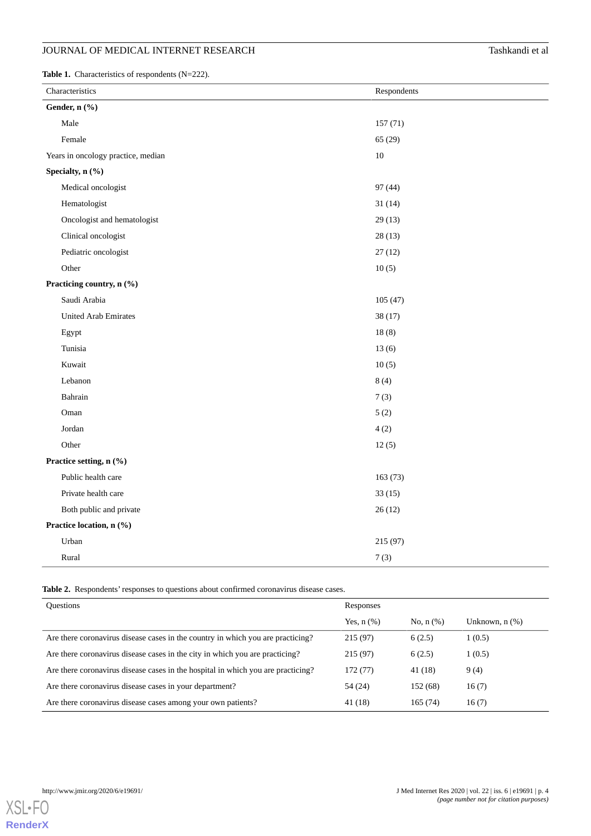## **JOURNAL OF MEDICAL INTERNET RESEARCH** Tashkandi et al

<span id="page-3-0"></span>Table 1. Characteristics of respondents (N=222).

| Characteristics                    | Respondents |  |  |  |
|------------------------------------|-------------|--|--|--|
| Gender, n (%)                      |             |  |  |  |
| Male                               | 157(71)     |  |  |  |
| Female                             | 65 (29)     |  |  |  |
| Years in oncology practice, median | $10\,$      |  |  |  |
| Specialty, n (%)                   |             |  |  |  |
| Medical oncologist                 | 97 (44)     |  |  |  |
| Hematologist                       | 31(14)      |  |  |  |
| Oncologist and hematologist        | 29(13)      |  |  |  |
| Clinical oncologist                | 28(13)      |  |  |  |
| Pediatric oncologist               | 27(12)      |  |  |  |
| Other                              | 10(5)       |  |  |  |
| Practicing country, n (%)          |             |  |  |  |
| Saudi Arabia                       | 105(47)     |  |  |  |
| <b>United Arab Emirates</b>        | 38 (17)     |  |  |  |
| Egypt                              | 18(8)       |  |  |  |
| Tunisia                            | 13(6)       |  |  |  |
| Kuwait                             | 10(5)       |  |  |  |
| Lebanon                            | 8(4)        |  |  |  |
| Bahrain                            | 7(3)        |  |  |  |
| Oman                               | 5(2)        |  |  |  |
| Jordan                             | 4(2)        |  |  |  |
| Other                              | 12(5)       |  |  |  |
| Practice setting, n (%)            |             |  |  |  |
| Public health care                 | 163(73)     |  |  |  |
| Private health care                | 33(15)      |  |  |  |
| Both public and private            | 26(12)      |  |  |  |
| Practice location, n (%)           |             |  |  |  |
| Urban                              | 215 (97)    |  |  |  |
| Rural                              | 7(3)        |  |  |  |

<span id="page-3-1"></span>**Table 2.** Respondents' responses to questions about confirmed coronavirus disease cases.

| <b>Ouestions</b>                                                                 | Responses       |                |                     |
|----------------------------------------------------------------------------------|-----------------|----------------|---------------------|
|                                                                                  | Yes, $n$ $(\%)$ | No, $n$ $(\%)$ | Unknown, $n$ $(\%)$ |
| Are there coronavirus disease cases in the country in which you are practicing?  | 215 (97)        | 6(2.5)         | 1(0.5)              |
| Are there coronavirus disease cases in the city in which you are practicing?     | 215 (97)        | 6(2.5)         | 1(0.5)              |
| Are there coronavirus disease cases in the hospital in which you are practicing? | 172 (77)        | 41 (18)        | 9(4)                |
| Are there coronavirus disease cases in your department?                          | 54 (24)         | 152 (68)       | 16(7)               |
| Are there coronavirus disease cases among your own patients?                     | 41 (18)         | 165(74)        | 16(7)               |

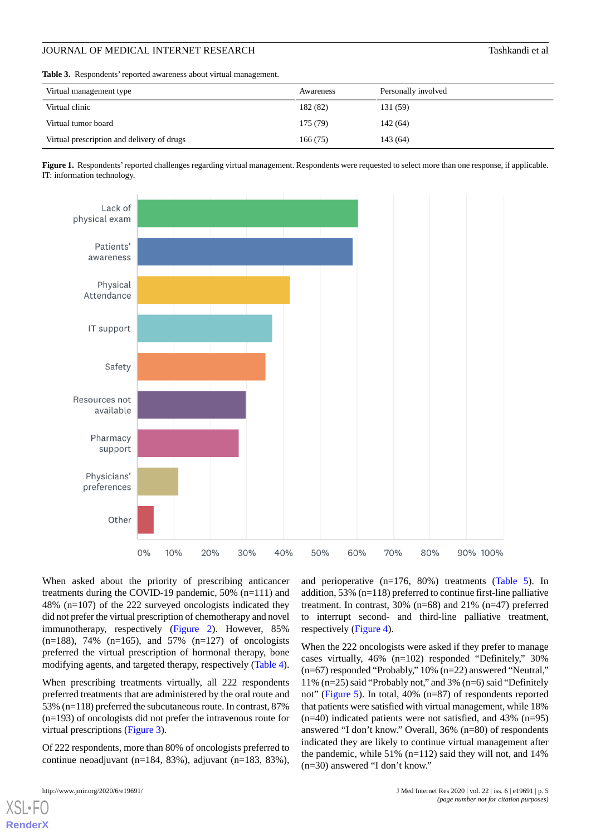<span id="page-4-0"></span>**Table 3.** Respondents' reported awareness about virtual management.

| Virtual management type                    | Awareness | Personally involved |
|--------------------------------------------|-----------|---------------------|
| Virtual clinic                             | 182 (82)  | 131 (59)            |
| Virtual tumor board                        | 175 (79)  | 142 (64)            |
| Virtual prescription and delivery of drugs | 166(75)   | 143 (64)            |

<span id="page-4-1"></span>**Figure 1.** Respondents'reported challenges regarding virtual management. Respondents were requested to select more than one response, if applicable. IT: information technology.



When asked about the priority of prescribing anticancer treatments during the COVID-19 pandemic, 50% (n=111) and 48% (n=107) of the 222 surveyed oncologists indicated they did not prefer the virtual prescription of chemotherapy and novel immunotherapy, respectively ([Figure 2\)](#page-5-0). However, 85%  $(n=188)$ , 74%  $(n=165)$ , and 57%  $(n=127)$  of oncologists preferred the virtual prescription of hormonal therapy, bone modifying agents, and targeted therapy, respectively [\(Table 4\)](#page-5-1).

When prescribing treatments virtually, all 222 respondents preferred treatments that are administered by the oral route and 53% (n=118) preferred the subcutaneous route. In contrast, 87% (n=193) of oncologists did not prefer the intravenous route for virtual prescriptions ([Figure 3](#page-5-2)).

Of 222 respondents, more than 80% of oncologists preferred to continue neoadjuvant (n=184, 83%), adjuvant (n=183, 83%),

[XSL](http://www.w3.org/Style/XSL)•FO **[RenderX](http://www.renderx.com/)**

and perioperative (n=176, 80%) treatments [\(Table 5](#page-6-0)). In addition, 53% (n=118) preferred to continue first-line palliative treatment. In contrast, 30% (n=68) and 21% (n=47) preferred to interrupt second- and third-line palliative treatment, respectively [\(Figure 4\)](#page-6-1).

When the 222 oncologists were asked if they prefer to manage cases virtually, 46% (n=102) responded "Definitely," 30% (n=67) responded "Probably," 10% (n=22) answered "Neutral," 11% (n=25) said "Probably not," and 3% (n=6) said "Definitely not" [\(Figure 5\)](#page-7-0). In total, 40% (n=87) of respondents reported that patients were satisfied with virtual management, while 18%  $(n=40)$  indicated patients were not satisfied, and 43%  $(n=95)$ answered "I don't know." Overall, 36% (n=80) of respondents indicated they are likely to continue virtual management after the pandemic, while 51% (n=112) said they will not, and 14% (n=30) answered "I don't know."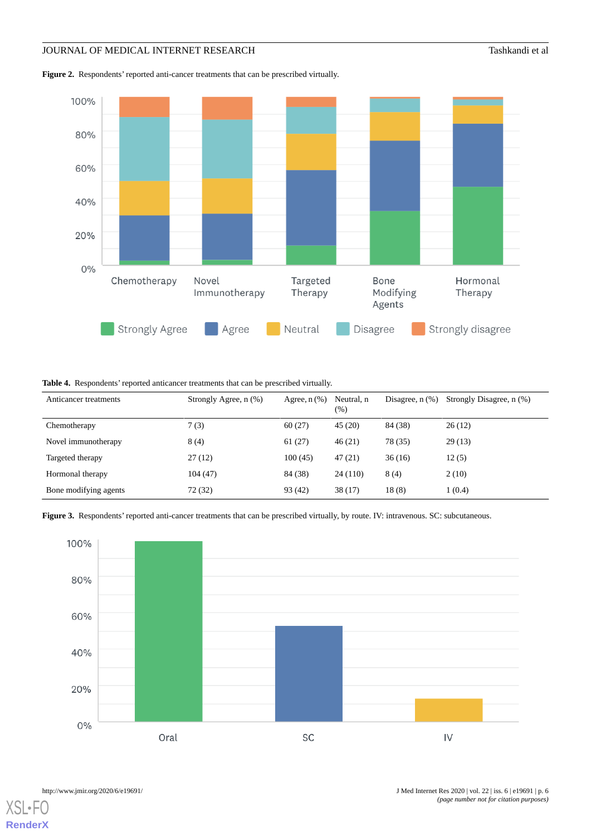## **JOURNAL OF MEDICAL INTERNET RESEARCH** Tashkandi et al

<span id="page-5-0"></span>**Figure 2.** Respondents' reported anti-cancer treatments that can be prescribed virtually.



<span id="page-5-1"></span>**Table 4.** Respondents' reported anticancer treatments that can be prescribed virtually.

| Anticancer treatments | Strongly Agree, n (%) | Agree, $n$ $(\%)$ | Neutral, n<br>(%) | Disagree, $n$ $(\%)$ | Strongly Disagree, n (%) |
|-----------------------|-----------------------|-------------------|-------------------|----------------------|--------------------------|
| Chemotherapy          | 7(3)                  | 60(27)            | 45(20)            | 84 (38)              | 26(12)                   |
| Novel immunotherapy   | 8(4)                  | 61(27)            | 46(21)            | 78 (35)              | 29(13)                   |
| Targeted therapy      | 27(12)                | 100(45)           | 47(21)            | 36(16)               | 12(5)                    |
| Hormonal therapy      | 104(47)               | 84 (38)           | 24 (110)          | 8(4)                 | 2(10)                    |
| Bone modifying agents | 72 (32)               | 93 (42)           | 38(17)            | 18(8)                | 1(0.4)                   |

<span id="page-5-2"></span>**Figure 3.** Respondents' reported anti-cancer treatments that can be prescribed virtually, by route. IV: intravenous. SC: subcutaneous.



 $XS$  • FO **[RenderX](http://www.renderx.com/)**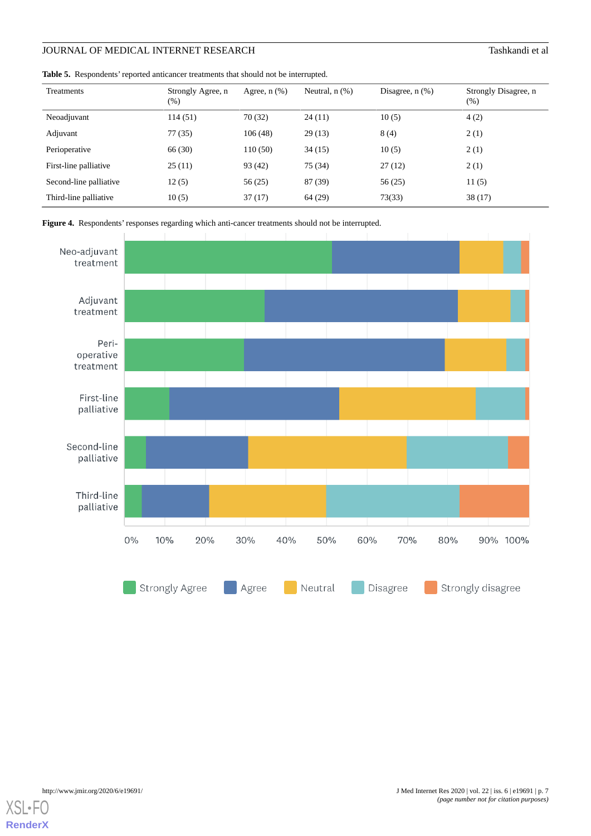# **JOURNAL OF MEDICAL INTERNET RESEARCH** Tashkandi et al

<span id="page-6-0"></span>**Table 5.** Respondents' reported anticancer treatments that should not be interrupted.

| Treatments             | Strongly Agree, n<br>$(\%)$ | Agree, $n$ $(\%)$ | Neutral, $n$ $(\%)$ | Disagree, $n$ $(\%)$ | Strongly Disagree, n<br>$(\%)$ |
|------------------------|-----------------------------|-------------------|---------------------|----------------------|--------------------------------|
| Neoadjuvant            | 114 (51)                    | 70 (32)           | 24(11)              | 10(5)                | 4(2)                           |
| Adjuvant               | 77 (35)                     | 106(48)           | 29(13)              | 8(4)                 | 2(1)                           |
| Perioperative          | 66 (30)                     | 110(50)           | 34(15)              | 10(5)                | 2(1)                           |
| First-line palliative  | 25(11)                      | 93 (42)           | 75 (34)             | 27(12)               | 2(1)                           |
| Second-line palliative | 12(5)                       | 56(25)            | 87 (39)             | 56(25)               | 11(5)                          |
| Third-line palliative  | 10(5)                       | 37(17)            | 64 (29)             | 73(33)               | 38(17)                         |

<span id="page-6-1"></span>



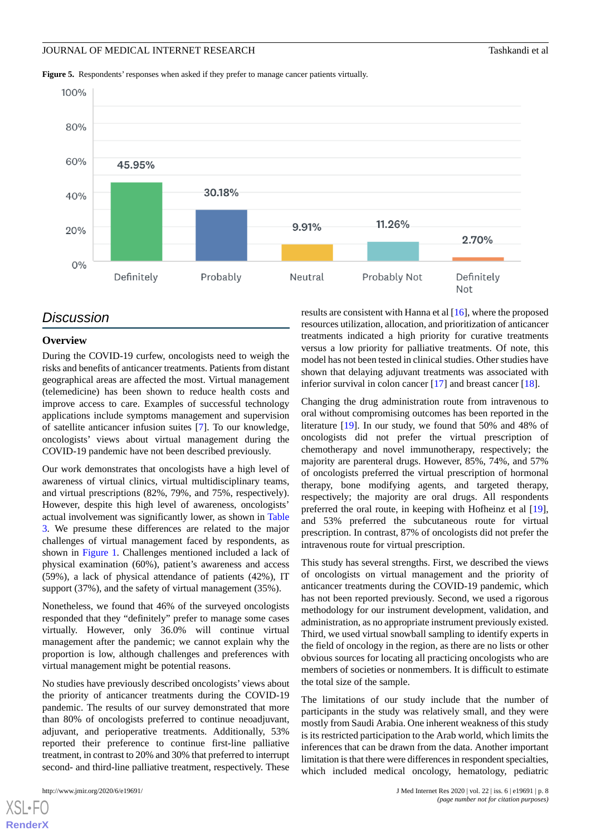<span id="page-7-0"></span>**Figure 5.** Respondents' responses when asked if they prefer to manage cancer patients virtually.



### *Discussion*

### **Overview**

During the COVID-19 curfew, oncologists need to weigh the risks and benefits of anticancer treatments. Patients from distant geographical areas are affected the most. Virtual management (telemedicine) has been shown to reduce health costs and improve access to care. Examples of successful technology applications include symptoms management and supervision of satellite anticancer infusion suites [\[7](#page-9-3)]. To our knowledge, oncologists' views about virtual management during the COVID-19 pandemic have not been described previously.

Our work demonstrates that oncologists have a high level of awareness of virtual clinics, virtual multidisciplinary teams, and virtual prescriptions (82%, 79%, and 75%, respectively). However, despite this high level of awareness, oncologists' actual involvement was significantly lower, as shown in [Table](#page-4-0) [3.](#page-4-0) We presume these differences are related to the major challenges of virtual management faced by respondents, as shown in [Figure 1.](#page-4-1) Challenges mentioned included a lack of physical examination (60%), patient's awareness and access (59%), a lack of physical attendance of patients (42%), IT support (37%), and the safety of virtual management (35%).

Nonetheless, we found that 46% of the surveyed oncologists responded that they "definitely" prefer to manage some cases virtually. However, only 36.0% will continue virtual management after the pandemic; we cannot explain why the proportion is low, although challenges and preferences with virtual management might be potential reasons.

No studies have previously described oncologists' views about the priority of anticancer treatments during the COVID-19 pandemic. The results of our survey demonstrated that more than 80% of oncologists preferred to continue neoadjuvant, adjuvant, and perioperative treatments. Additionally, 53% reported their preference to continue first-line palliative treatment, in contrast to 20% and 30% that preferred to interrupt second- and third-line palliative treatment, respectively. These

[XSL](http://www.w3.org/Style/XSL)•FO **[RenderX](http://www.renderx.com/)**

results are consistent with Hanna et al [[16\]](#page-9-11), where the proposed resources utilization, allocation, and prioritization of anticancer treatments indicated a high priority for curative treatments versus a low priority for palliative treatments. Of note, this model has not been tested in clinical studies. Other studies have shown that delaying adjuvant treatments was associated with inferior survival in colon cancer [\[17](#page-9-12)] and breast cancer [\[18](#page-9-13)].

Changing the drug administration route from intravenous to oral without compromising outcomes has been reported in the literature [[19\]](#page-9-14). In our study, we found that 50% and 48% of oncologists did not prefer the virtual prescription of chemotherapy and novel immunotherapy, respectively; the majority are parenteral drugs. However, 85%, 74%, and 57% of oncologists preferred the virtual prescription of hormonal therapy, bone modifying agents, and targeted therapy, respectively; the majority are oral drugs. All respondents preferred the oral route, in keeping with Hofheinz et al [[19\]](#page-9-14), and 53% preferred the subcutaneous route for virtual prescription. In contrast, 87% of oncologists did not prefer the intravenous route for virtual prescription.

This study has several strengths. First, we described the views of oncologists on virtual management and the priority of anticancer treatments during the COVID-19 pandemic, which has not been reported previously. Second, we used a rigorous methodology for our instrument development, validation, and administration, as no appropriate instrument previously existed. Third, we used virtual snowball sampling to identify experts in the field of oncology in the region, as there are no lists or other obvious sources for locating all practicing oncologists who are members of societies or nonmembers. It is difficult to estimate the total size of the sample.

The limitations of our study include that the number of participants in the study was relatively small, and they were mostly from Saudi Arabia. One inherent weakness of this study is its restricted participation to the Arab world, which limits the inferences that can be drawn from the data. Another important limitation is that there were differences in respondent specialties, which included medical oncology, hematology, pediatric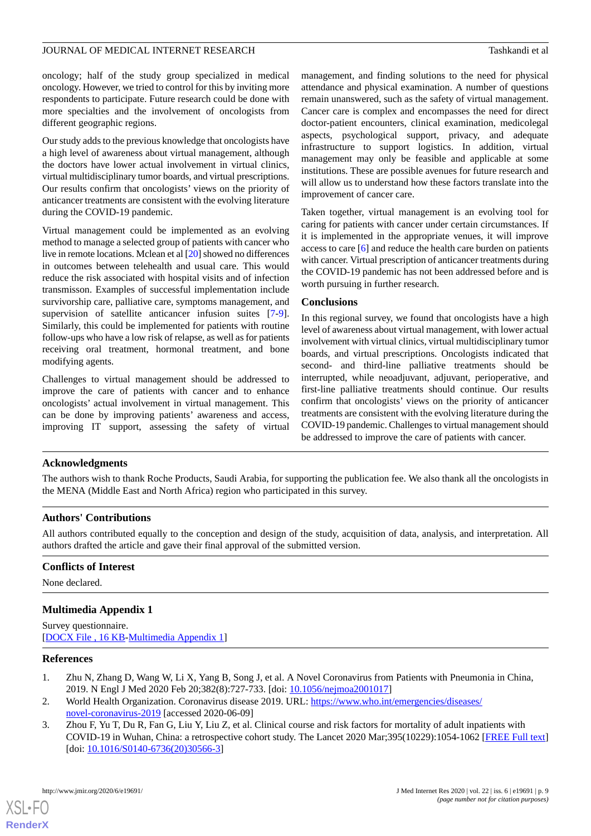oncology; half of the study group specialized in medical oncology. However, we tried to control for this by inviting more respondents to participate. Future research could be done with more specialties and the involvement of oncologists from different geographic regions.

Our study adds to the previous knowledge that oncologists have a high level of awareness about virtual management, although the doctors have lower actual involvement in virtual clinics, virtual multidisciplinary tumor boards, and virtual prescriptions. Our results confirm that oncologists' views on the priority of anticancer treatments are consistent with the evolving literature during the COVID-19 pandemic.

Virtual management could be implemented as an evolving method to manage a selected group of patients with cancer who live in remote locations. Mclean et al [[20\]](#page-9-15) showed no differences in outcomes between telehealth and usual care. This would reduce the risk associated with hospital visits and of infection transmisson. Examples of successful implementation include survivorship care, palliative care, symptoms management, and supervision of satellite anticancer infusion suites [\[7-](#page-9-3)[9\]](#page-9-4). Similarly, this could be implemented for patients with routine follow-ups who have a low risk of relapse, as well as for patients receiving oral treatment, hormonal treatment, and bone modifying agents.

Challenges to virtual management should be addressed to improve the care of patients with cancer and to enhance oncologists' actual involvement in virtual management. This can be done by improving patients' awareness and access, improving IT support, assessing the safety of virtual

management, and finding solutions to the need for physical attendance and physical examination. A number of questions remain unanswered, such as the safety of virtual management. Cancer care is complex and encompasses the need for direct doctor-patient encounters, clinical examination, medicolegal aspects, psychological support, privacy, and adequate infrastructure to support logistics. In addition, virtual management may only be feasible and applicable at some institutions. These are possible avenues for future research and will allow us to understand how these factors translate into the improvement of cancer care.

Taken together, virtual management is an evolving tool for caring for patients with cancer under certain circumstances. If it is implemented in the appropriate venues, it will improve access to care [[6\]](#page-9-2) and reduce the health care burden on patients with cancer. Virtual prescription of anticancer treatments during the COVID-19 pandemic has not been addressed before and is worth pursuing in further research.

### **Conclusions**

In this regional survey, we found that oncologists have a high level of awareness about virtual management, with lower actual involvement with virtual clinics, virtual multidisciplinary tumor boards, and virtual prescriptions. Oncologists indicated that second- and third-line palliative treatments should be interrupted, while neoadjuvant, adjuvant, perioperative, and first-line palliative treatments should continue. Our results confirm that oncologists' views on the priority of anticancer treatments are consistent with the evolving literature during the COVID-19 pandemic. Challenges to virtual management should be addressed to improve the care of patients with cancer.

### **Acknowledgments**

The authors wish to thank Roche Products, Saudi Arabia, for supporting the publication fee. We also thank all the oncologists in the MENA (Middle East and North Africa) region who participated in this survey.

### **Authors' Contributions**

<span id="page-8-3"></span>All authors contributed equally to the conception and design of the study, acquisition of data, analysis, and interpretation. All authors drafted the article and gave their final approval of the submitted version.

#### **Conflicts of Interest**

None declared.

### <span id="page-8-0"></span>**Multimedia Appendix 1**

<span id="page-8-1"></span>Survey questionnaire. [[DOCX File , 16 KB](https://jmir.org/api/download?alt_name=jmir_v22i6e19691_app1.docx&filename=6bcaec357ffab1db4b429ddd4c1c69b8.docx)-[Multimedia Appendix 1\]](https://jmir.org/api/download?alt_name=jmir_v22i6e19691_app1.docx&filename=6bcaec357ffab1db4b429ddd4c1c69b8.docx)

#### <span id="page-8-2"></span>**References**

[XSL](http://www.w3.org/Style/XSL)•FO **[RenderX](http://www.renderx.com/)**

- 1. Zhu N, Zhang D, Wang W, Li X, Yang B, Song J, et al. A Novel Coronavirus from Patients with Pneumonia in China, 2019. N Engl J Med 2020 Feb 20;382(8):727-733. [doi: [10.1056/nejmoa2001017\]](http://dx.doi.org/10.1056/nejmoa2001017)
- 2. World Health Organization. Coronavirus disease 2019. URL: [https://www.who.int/emergencies/diseases/](https://www.who.int/emergencies/diseases/novel-coronavirus-2019) [novel-coronavirus-2019](https://www.who.int/emergencies/diseases/novel-coronavirus-2019) [accessed 2020-06-09]
- 3. Zhou F, Yu T, Du R, Fan G, Liu Y, Liu Z, et al. Clinical course and risk factors for mortality of adult inpatients with COVID-19 in Wuhan, China: a retrospective cohort study. The Lancet 2020 Mar;395(10229):1054-1062 [\[FREE Full text](http://paperpile.com/b/Kg7E0Q/tEeP)] [doi: [10.1016/S0140-6736\(20\)30566-3](http://dx.doi.org/10.1016/S0140-6736(20)30566-3)]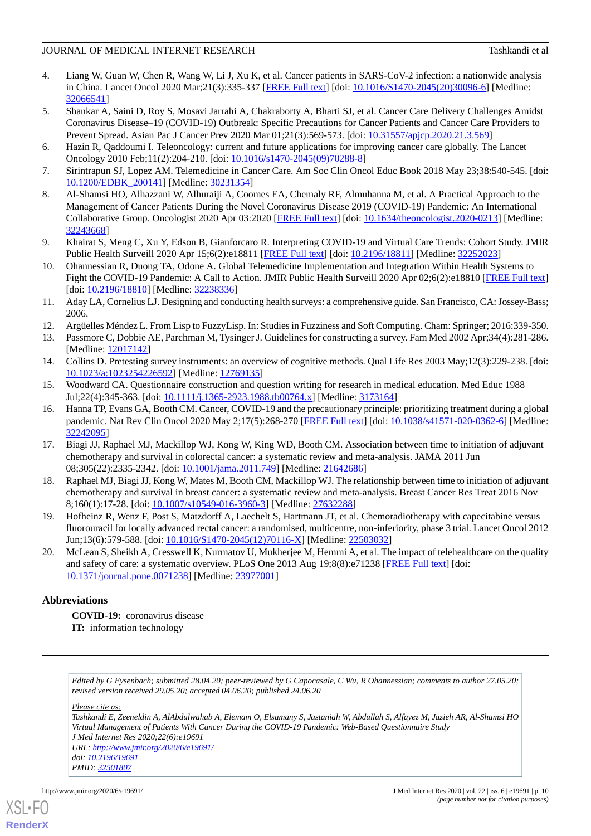- <span id="page-9-0"></span>4. Liang W, Guan W, Chen R, Wang W, Li J, Xu K, et al. Cancer patients in SARS-CoV-2 infection: a nationwide analysis in China. Lancet Oncol 2020 Mar;21(3):335-337 [[FREE Full text](http://europepmc.org/abstract/MED/32066541)] [doi: [10.1016/S1470-2045\(20\)30096-6\]](http://dx.doi.org/10.1016/S1470-2045(20)30096-6) [Medline: [32066541](http://www.ncbi.nlm.nih.gov/entrez/query.fcgi?cmd=Retrieve&db=PubMed&list_uids=32066541&dopt=Abstract)]
- <span id="page-9-1"></span>5. Shankar A, Saini D, Roy S, Mosavi Jarrahi A, Chakraborty A, Bharti SJ, et al. Cancer Care Delivery Challenges Amidst Coronavirus Disease–19 (COVID-19) Outbreak: Specific Precautions for Cancer Patients and Cancer Care Providers to Prevent Spread. Asian Pac J Cancer Prev 2020 Mar 01;21(3):569-573. [doi: [10.31557/apjcp.2020.21.3.569\]](http://dx.doi.org/10.31557/apjcp.2020.21.3.569)
- <span id="page-9-3"></span><span id="page-9-2"></span>6. Hazin R, Qaddoumi I. Teleoncology: current and future applications for improving cancer care globally. The Lancet Oncology 2010 Feb;11(2):204-210. [doi: [10.1016/s1470-2045\(09\)70288-8](http://dx.doi.org/10.1016/s1470-2045(09)70288-8)]
- 7. Sirintrapun SJ, Lopez AM. Telemedicine in Cancer Care. Am Soc Clin Oncol Educ Book 2018 May 23;38:540-545. [doi: [10.1200/EDBK\\_200141](http://dx.doi.org/10.1200/EDBK_200141)] [Medline: [30231354\]](http://www.ncbi.nlm.nih.gov/entrez/query.fcgi?cmd=Retrieve&db=PubMed&list_uids=30231354&dopt=Abstract)
- 8. Al-Shamsi HO, Alhazzani W, Alhuraiji A, Coomes EA, Chemaly RF, Almuhanna M, et al. A Practical Approach to the Management of Cancer Patients During the Novel Coronavirus Disease 2019 (COVID-19) Pandemic: An International Collaborative Group. Oncologist 2020 Apr 03:2020 [\[FREE Full text\]](https://doi.org/10.1634/theoncologist.2020-0213) [doi: [10.1634/theoncologist.2020-0213\]](http://dx.doi.org/10.1634/theoncologist.2020-0213) [Medline: [32243668](http://www.ncbi.nlm.nih.gov/entrez/query.fcgi?cmd=Retrieve&db=PubMed&list_uids=32243668&dopt=Abstract)]
- <span id="page-9-5"></span><span id="page-9-4"></span>9. Khairat S, Meng C, Xu Y, Edson B, Gianforcaro R. Interpreting COVID-19 and Virtual Care Trends: Cohort Study. JMIR Public Health Surveill 2020 Apr 15;6(2):e18811 [[FREE Full text](https://publichealth.jmir.org/2020/2/e18811/)] [doi: [10.2196/18811\]](http://dx.doi.org/10.2196/18811) [Medline: [32252023\]](http://www.ncbi.nlm.nih.gov/entrez/query.fcgi?cmd=Retrieve&db=PubMed&list_uids=32252023&dopt=Abstract)
- <span id="page-9-6"></span>10. Ohannessian R, Duong TA, Odone A. Global Telemedicine Implementation and Integration Within Health Systems to Fight the COVID-19 Pandemic: A Call to Action. JMIR Public Health Surveill 2020 Apr 02;6(2):e18810 [\[FREE Full text](https://publichealth.jmir.org/2020/2/e18810/)] [doi: [10.2196/18810](http://dx.doi.org/10.2196/18810)] [Medline: [32238336\]](http://www.ncbi.nlm.nih.gov/entrez/query.fcgi?cmd=Retrieve&db=PubMed&list_uids=32238336&dopt=Abstract)
- <span id="page-9-8"></span><span id="page-9-7"></span>11. Aday LA, Cornelius LJ. Designing and conducting health surveys: a comprehensive guide. San Francisco, CA: Jossey-Bass; 2006.
- <span id="page-9-9"></span>12. Argüelles Méndez L. From Lisp to FuzzyLisp. In: Studies in Fuzziness and Soft Computing. Cham: Springer; 2016:339-350.
- <span id="page-9-10"></span>13. Passmore C, Dobbie AE, Parchman M, Tysinger J. Guidelines for constructing a survey. Fam Med 2002 Apr;34(4):281-286. [Medline: [12017142](http://www.ncbi.nlm.nih.gov/entrez/query.fcgi?cmd=Retrieve&db=PubMed&list_uids=12017142&dopt=Abstract)]
- <span id="page-9-11"></span>14. Collins D. Pretesting survey instruments: an overview of cognitive methods. Qual Life Res 2003 May;12(3):229-238. [doi: [10.1023/a:1023254226592](http://dx.doi.org/10.1023/a:1023254226592)] [Medline: [12769135\]](http://www.ncbi.nlm.nih.gov/entrez/query.fcgi?cmd=Retrieve&db=PubMed&list_uids=12769135&dopt=Abstract)
- 15. Woodward CA. Questionnaire construction and question writing for research in medical education. Med Educ 1988 Jul;22(4):345-363. [doi: [10.1111/j.1365-2923.1988.tb00764.x](http://dx.doi.org/10.1111/j.1365-2923.1988.tb00764.x)] [Medline: [3173164](http://www.ncbi.nlm.nih.gov/entrez/query.fcgi?cmd=Retrieve&db=PubMed&list_uids=3173164&dopt=Abstract)]
- <span id="page-9-12"></span>16. Hanna TP, Evans GA, Booth CM. Cancer, COVID-19 and the precautionary principle: prioritizing treatment during a global pandemic. Nat Rev Clin Oncol 2020 May 2;17(5):268-270 [\[FREE Full text](http://europepmc.org/abstract/MED/32242095)] [doi: [10.1038/s41571-020-0362-6\]](http://dx.doi.org/10.1038/s41571-020-0362-6) [Medline: [32242095](http://www.ncbi.nlm.nih.gov/entrez/query.fcgi?cmd=Retrieve&db=PubMed&list_uids=32242095&dopt=Abstract)]
- <span id="page-9-13"></span>17. Biagi JJ, Raphael MJ, Mackillop WJ, Kong W, King WD, Booth CM. Association between time to initiation of adjuvant chemotherapy and survival in colorectal cancer: a systematic review and meta-analysis. JAMA 2011 Jun 08;305(22):2335-2342. [doi: [10.1001/jama.2011.749](http://dx.doi.org/10.1001/jama.2011.749)] [Medline: [21642686\]](http://www.ncbi.nlm.nih.gov/entrez/query.fcgi?cmd=Retrieve&db=PubMed&list_uids=21642686&dopt=Abstract)
- <span id="page-9-15"></span><span id="page-9-14"></span>18. Raphael MJ, Biagi JJ, Kong W, Mates M, Booth CM, Mackillop WJ. The relationship between time to initiation of adjuvant chemotherapy and survival in breast cancer: a systematic review and meta-analysis. Breast Cancer Res Treat 2016 Nov 8;160(1):17-28. [doi: [10.1007/s10549-016-3960-3\]](http://dx.doi.org/10.1007/s10549-016-3960-3) [Medline: [27632288](http://www.ncbi.nlm.nih.gov/entrez/query.fcgi?cmd=Retrieve&db=PubMed&list_uids=27632288&dopt=Abstract)]
- 19. Hofheinz R, Wenz F, Post S, Matzdorff A, Laechelt S, Hartmann JT, et al. Chemoradiotherapy with capecitabine versus fluorouracil for locally advanced rectal cancer: a randomised, multicentre, non-inferiority, phase 3 trial. Lancet Oncol 2012 Jun;13(6):579-588. [doi: [10.1016/S1470-2045\(12\)70116-X\]](http://dx.doi.org/10.1016/S1470-2045(12)70116-X) [Medline: [22503032\]](http://www.ncbi.nlm.nih.gov/entrez/query.fcgi?cmd=Retrieve&db=PubMed&list_uids=22503032&dopt=Abstract)
- 20. McLean S, Sheikh A, Cresswell K, Nurmatov U, Mukherjee M, Hemmi A, et al. The impact of telehealthcare on the quality and safety of care: a systematic overview. PLoS One 2013 Aug 19;8(8):e71238 [[FREE Full text](http://dx.plos.org/10.1371/journal.pone.0071238)] [doi: [10.1371/journal.pone.0071238\]](http://dx.doi.org/10.1371/journal.pone.0071238) [Medline: [23977001](http://www.ncbi.nlm.nih.gov/entrez/query.fcgi?cmd=Retrieve&db=PubMed&list_uids=23977001&dopt=Abstract)]

### **Abbreviations**

**COVID-19:** coronavirus disease **IT:** information technology

*Edited by G Eysenbach; submitted 28.04.20; peer-reviewed by G Capocasale, C Wu, R Ohannessian; comments to author 27.05.20; revised version received 29.05.20; accepted 04.06.20; published 24.06.20*

*Please cite as:*

*Tashkandi E, Zeeneldin A, AlAbdulwahab A, Elemam O, Elsamany S, Jastaniah W, Abdullah S, Alfayez M, Jazieh AR, Al-Shamsi HO Virtual Management of Patients With Cancer During the COVID-19 Pandemic: Web-Based Questionnaire Study J Med Internet Res 2020;22(6):e19691 URL: <http://www.jmir.org/2020/6/e19691/> doi: [10.2196/19691](http://dx.doi.org/10.2196/19691) PMID: [32501807](http://www.ncbi.nlm.nih.gov/entrez/query.fcgi?cmd=Retrieve&db=PubMed&list_uids=32501807&dopt=Abstract)*

[XSL](http://www.w3.org/Style/XSL)•FO **[RenderX](http://www.renderx.com/)**